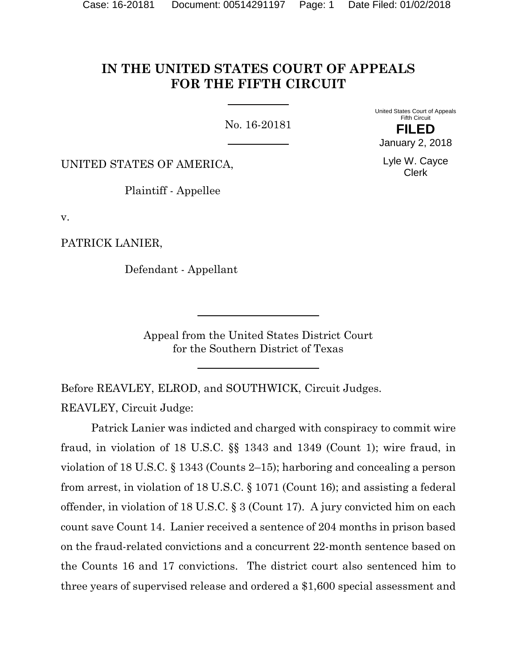## **IN THE UNITED STATES COURT OF APPEALS FOR THE FIFTH CIRCUIT**

No. 16-20181

United States Court of Appeals Fifth Circuit

UNITED STATES OF AMERICA,

Plaintiff - Appellee

v.

PATRICK LANIER,

Defendant - Appellant

Appeal from the United States District Court for the Southern District of Texas

Before REAVLEY, ELROD, and SOUTHWICK, Circuit Judges.

REAVLEY, Circuit Judge:

Patrick Lanier was indicted and charged with conspiracy to commit wire fraud, in violation of 18 U.S.C. §§ 1343 and 1349 (Count 1); wire fraud, in violation of 18 U.S.C. § 1343 (Counts 2–15); harboring and concealing a person from arrest, in violation of 18 U.S.C. § 1071 (Count 16); and assisting a federal offender, in violation of 18 U.S.C. § 3 (Count 17). A jury convicted him on each count save Count 14. Lanier received a sentence of 204 months in prison based on the fraud-related convictions and a concurrent 22-month sentence based on the Counts 16 and 17 convictions. The district court also sentenced him to three years of supervised release and ordered a \$1,600 special assessment and

**FILED** January 2, 2018

Lyle W. Cayce Clerk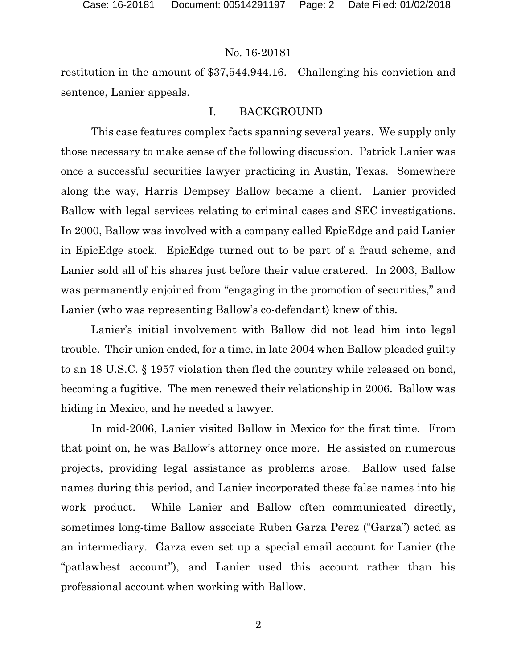restitution in the amount of \$37,544,944.16. Challenging his conviction and sentence, Lanier appeals.

### I. BACKGROUND

This case features complex facts spanning several years. We supply only those necessary to make sense of the following discussion. Patrick Lanier was once a successful securities lawyer practicing in Austin, Texas. Somewhere along the way, Harris Dempsey Ballow became a client. Lanier provided Ballow with legal services relating to criminal cases and SEC investigations. In 2000, Ballow was involved with a company called EpicEdge and paid Lanier in EpicEdge stock. EpicEdge turned out to be part of a fraud scheme, and Lanier sold all of his shares just before their value cratered. In 2003, Ballow was permanently enjoined from "engaging in the promotion of securities," and Lanier (who was representing Ballow's co-defendant) knew of this.

Lanier's initial involvement with Ballow did not lead him into legal trouble. Their union ended, for a time, in late 2004 when Ballow pleaded guilty to an 18 U.S.C. § 1957 violation then fled the country while released on bond, becoming a fugitive. The men renewed their relationship in 2006. Ballow was hiding in Mexico, and he needed a lawyer.

In mid-2006, Lanier visited Ballow in Mexico for the first time. From that point on, he was Ballow's attorney once more. He assisted on numerous projects, providing legal assistance as problems arose. Ballow used false names during this period, and Lanier incorporated these false names into his work product. While Lanier and Ballow often communicated directly, sometimes long-time Ballow associate Ruben Garza Perez ("Garza") acted as an intermediary. Garza even set up a special email account for Lanier (the "patlawbest account"), and Lanier used this account rather than his professional account when working with Ballow.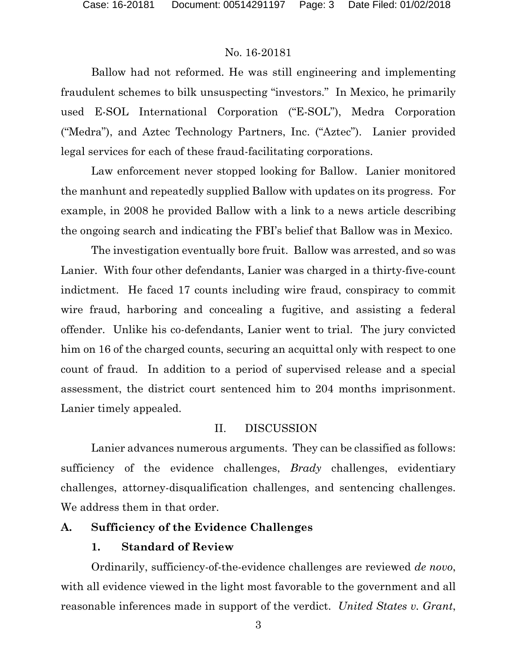Ballow had not reformed. He was still engineering and implementing fraudulent schemes to bilk unsuspecting "investors." In Mexico, he primarily used E-SOL International Corporation ("E-SOL"), Medra Corporation ("Medra"), and Aztec Technology Partners, Inc. ("Aztec"). Lanier provided legal services for each of these fraud-facilitating corporations.

Law enforcement never stopped looking for Ballow. Lanier monitored the manhunt and repeatedly supplied Ballow with updates on its progress. For example, in 2008 he provided Ballow with a link to a news article describing the ongoing search and indicating the FBI's belief that Ballow was in Mexico.

The investigation eventually bore fruit. Ballow was arrested, and so was Lanier. With four other defendants, Lanier was charged in a thirty-five-count indictment. He faced 17 counts including wire fraud, conspiracy to commit wire fraud, harboring and concealing a fugitive, and assisting a federal offender. Unlike his co-defendants, Lanier went to trial. The jury convicted him on 16 of the charged counts, securing an acquittal only with respect to one count of fraud. In addition to a period of supervised release and a special assessment, the district court sentenced him to 204 months imprisonment. Lanier timely appealed.

#### II. DISCUSSION

Lanier advances numerous arguments. They can be classified as follows: sufficiency of the evidence challenges, *Brady* challenges, evidentiary challenges, attorney-disqualification challenges, and sentencing challenges. We address them in that order.

#### **A. Sufficiency of the Evidence Challenges**

#### **1. Standard of Review**

Ordinarily, sufficiency-of-the-evidence challenges are reviewed *de novo*, with all evidence viewed in the light most favorable to the government and all reasonable inferences made in support of the verdict. *United States v. Grant*,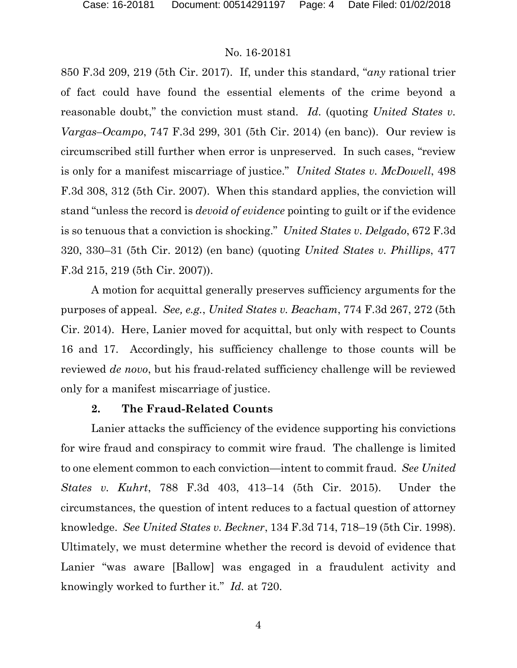850 F.3d 209, 219 (5th Cir. 2017). If, under this standard, "*any* rational trier of fact could have found the essential elements of the crime beyond a reasonable doubt," the conviction must stand. *Id.* (quoting *United States v. Vargas–Ocampo*, 747 F.3d 299, 301 (5th Cir. 2014) (en banc)). Our review is circumscribed still further when error is unpreserved. In such cases, "review is only for a manifest miscarriage of justice." *United States v. McDowell*, 498 F.3d 308, 312 (5th Cir. 2007). When this standard applies, the conviction will stand "unless the record is *devoid of evidence* pointing to guilt or if the evidence is so tenuous that a conviction is shocking." *United States v. Delgado*, 672 F.3d 320, 330–31 (5th Cir. 2012) (en banc) (quoting *United States v. Phillips*, 477 F.3d 215, 219 (5th Cir. 2007)).

A motion for acquittal generally preserves sufficiency arguments for the purposes of appeal. *See, e.g.*, *United States v. Beacham*, 774 F.3d 267, 272 (5th Cir. 2014). Here, Lanier moved for acquittal, but only with respect to Counts 16 and 17. Accordingly, his sufficiency challenge to those counts will be reviewed *de novo*, but his fraud-related sufficiency challenge will be reviewed only for a manifest miscarriage of justice.

#### **2. The Fraud-Related Counts**

Lanier attacks the sufficiency of the evidence supporting his convictions for wire fraud and conspiracy to commit wire fraud. The challenge is limited to one element common to each conviction—intent to commit fraud. *See United States v. Kuhrt*, 788 F.3d 403, 413–14 (5th Cir. 2015). Under the circumstances, the question of intent reduces to a factual question of attorney knowledge. *See United States v. Beckner*, 134 F.3d 714, 718–19 (5th Cir. 1998). Ultimately, we must determine whether the record is devoid of evidence that Lanier "was aware [Ballow] was engaged in a fraudulent activity and knowingly worked to further it." *Id.* at 720.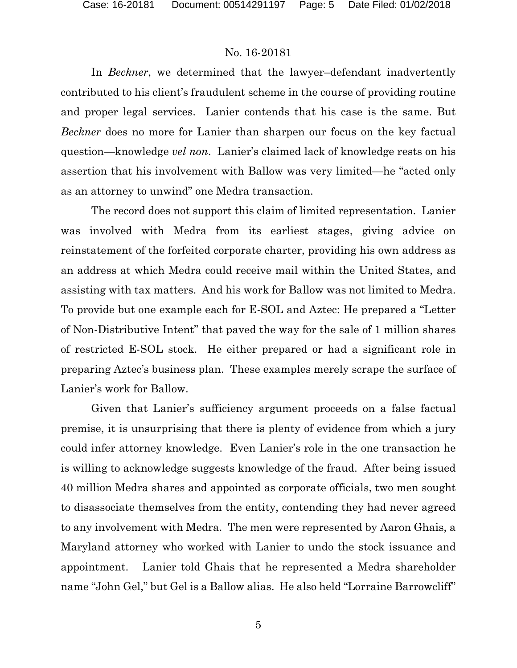In *Beckner*, we determined that the lawyer–defendant inadvertently contributed to his client's fraudulent scheme in the course of providing routine and proper legal services. Lanier contends that his case is the same. But *Beckner* does no more for Lanier than sharpen our focus on the key factual question—knowledge *vel non*. Lanier's claimed lack of knowledge rests on his assertion that his involvement with Ballow was very limited—he "acted only as an attorney to unwind" one Medra transaction.

The record does not support this claim of limited representation. Lanier was involved with Medra from its earliest stages, giving advice on reinstatement of the forfeited corporate charter, providing his own address as an address at which Medra could receive mail within the United States, and assisting with tax matters. And his work for Ballow was not limited to Medra. To provide but one example each for E-SOL and Aztec: He prepared a "Letter of Non-Distributive Intent" that paved the way for the sale of 1 million shares of restricted E-SOL stock. He either prepared or had a significant role in preparing Aztec's business plan. These examples merely scrape the surface of Lanier's work for Ballow.

Given that Lanier's sufficiency argument proceeds on a false factual premise, it is unsurprising that there is plenty of evidence from which a jury could infer attorney knowledge. Even Lanier's role in the one transaction he is willing to acknowledge suggests knowledge of the fraud. After being issued 40 million Medra shares and appointed as corporate officials, two men sought to disassociate themselves from the entity, contending they had never agreed to any involvement with Medra. The men were represented by Aaron Ghais, a Maryland attorney who worked with Lanier to undo the stock issuance and appointment. Lanier told Ghais that he represented a Medra shareholder name "John Gel," but Gel is a Ballow alias. He also held "Lorraine Barrowcliff"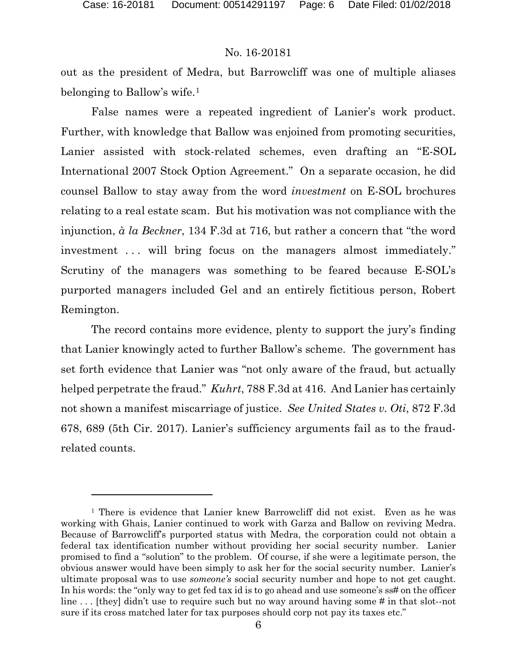$\overline{a}$ 

#### No. 16-20181

out as the president of Medra, but Barrowcliff was one of multiple aliases belonging to Ballow's wife.[1](#page-5-0)

False names were a repeated ingredient of Lanier's work product. Further, with knowledge that Ballow was enjoined from promoting securities, Lanier assisted with stock-related schemes, even drafting an "E-SOL International 2007 Stock Option Agreement." On a separate occasion, he did counsel Ballow to stay away from the word *investment* on E-SOL brochures relating to a real estate scam. But his motivation was not compliance with the injunction, *à la Beckner*, 134 F.3d at 716, but rather a concern that "the word investment ... will bring focus on the managers almost immediately." Scrutiny of the managers was something to be feared because E-SOL's purported managers included Gel and an entirely fictitious person, Robert Remington.

The record contains more evidence, plenty to support the jury's finding that Lanier knowingly acted to further Ballow's scheme. The government has set forth evidence that Lanier was "not only aware of the fraud, but actually helped perpetrate the fraud." *Kuhrt*, 788 F.3d at 416.And Lanier has certainly not shown a manifest miscarriage of justice. *See United States v. Oti*, 872 F.3d 678, 689 (5th Cir. 2017). Lanier's sufficiency arguments fail as to the fraudrelated counts.

<span id="page-5-0"></span><sup>&</sup>lt;sup>1</sup> There is evidence that Lanier knew Barrowcliff did not exist. Even as he was working with Ghais, Lanier continued to work with Garza and Ballow on reviving Medra. Because of Barrowcliff's purported status with Medra, the corporation could not obtain a federal tax identification number without providing her social security number. Lanier promised to find a "solution" to the problem. Of course, if she were a legitimate person, the obvious answer would have been simply to ask her for the social security number. Lanier's ultimate proposal was to use *someone's* social security number and hope to not get caught. In his words: the "only way to get fed tax id is to go ahead and use someone's ss# on the officer line ... [they] didn't use to require such but no way around having some # in that slot--not sure if its cross matched later for tax purposes should corp not pay its taxes etc."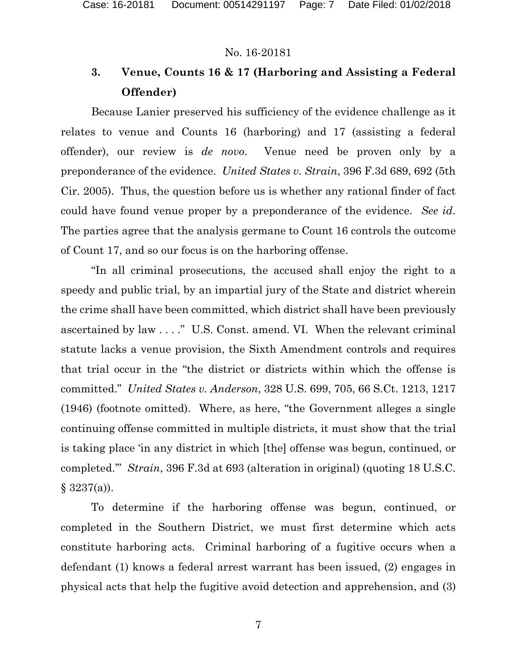# **3. Venue, Counts 16 & 17 (Harboring and Assisting a Federal Offender)**

Because Lanier preserved his sufficiency of the evidence challenge as it relates to venue and Counts 16 (harboring) and 17 (assisting a federal offender), our review is *de novo*.Venue need be proven only by a preponderance of the evidence. *United States v. Strain*, 396 F.3d 689, 692 (5th Cir. 2005). Thus, the question before us is whether any rational finder of fact could have found venue proper by a preponderance of the evidence. *See id.* The parties agree that the analysis germane to Count 16 controls the outcome of Count 17, and so our focus is on the harboring offense.

"In all criminal prosecutions, the accused shall enjoy the right to a speedy and public trial, by an impartial jury of the State and district wherein the crime shall have been committed, which district shall have been previously ascertained by law . . . ." U.S. Const. amend. VI. When the relevant criminal statute lacks a venue provision, the Sixth Amendment controls and requires that trial occur in the "the district or districts within which the offense is committed." *United States v. Anderson*, 328 U.S. 699, 705, 66 S.Ct. 1213, 1217 (1946) (footnote omitted). Where, as here, "the Government alleges a single continuing offense committed in multiple districts, it must show that the trial is taking place 'in any district in which [the] offense was begun, continued, or completed.'" *Strain*, 396 F.3d at 693 (alteration in original) (quoting 18 U.S.C.  $§ 3237(a)$ .

To determine if the harboring offense was begun, continued, or completed in the Southern District, we must first determine which acts constitute harboring acts. Criminal harboring of a fugitive occurs when a defendant (1) knows a federal arrest warrant has been issued, (2) engages in physical acts that help the fugitive avoid detection and apprehension, and (3)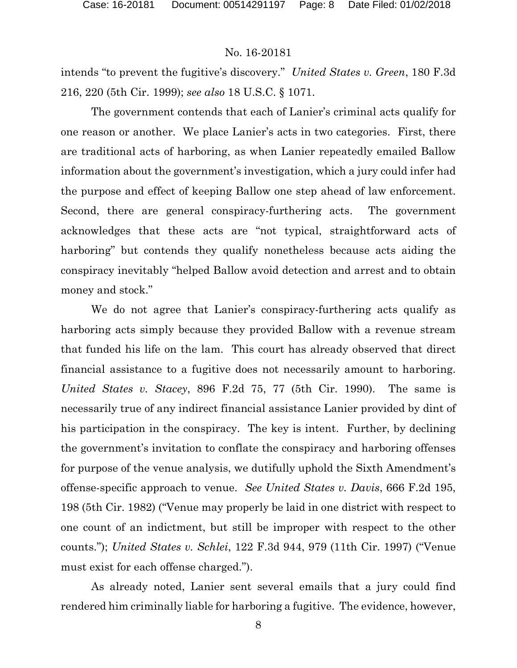intends "to prevent the fugitive's discovery." *United States v. Green*, 180 F.3d 216, 220 (5th Cir. 1999); *see also* 18 U.S.C. § 1071.

The government contends that each of Lanier's criminal acts qualify for one reason or another. We place Lanier's acts in two categories. First, there are traditional acts of harboring, as when Lanier repeatedly emailed Ballow information about the government's investigation, which a jury could infer had the purpose and effect of keeping Ballow one step ahead of law enforcement. Second, there are general conspiracy-furthering acts. The government acknowledges that these acts are "not typical, straightforward acts of harboring" but contends they qualify nonetheless because acts aiding the conspiracy inevitably "helped Ballow avoid detection and arrest and to obtain money and stock."

We do not agree that Lanier's conspiracy-furthering acts qualify as harboring acts simply because they provided Ballow with a revenue stream that funded his life on the lam. This court has already observed that direct financial assistance to a fugitive does not necessarily amount to harboring. *United States v. Stacey*, 896 F.2d 75, 77 (5th Cir. 1990). The same is necessarily true of any indirect financial assistance Lanier provided by dint of his participation in the conspiracy. The key is intent. Further, by declining the government's invitation to conflate the conspiracy and harboring offenses for purpose of the venue analysis, we dutifully uphold the Sixth Amendment's offense-specific approach to venue. *See United States v. Davis*, 666 F.2d 195, 198 (5th Cir. 1982) ("Venue may properly be laid in one district with respect to one count of an indictment, but still be improper with respect to the other counts."); *United States v. Schlei*, 122 F.3d 944, 979 (11th Cir. 1997) ("Venue must exist for each offense charged.").

As already noted, Lanier sent several emails that a jury could find rendered him criminally liable for harboring a fugitive. The evidence, however,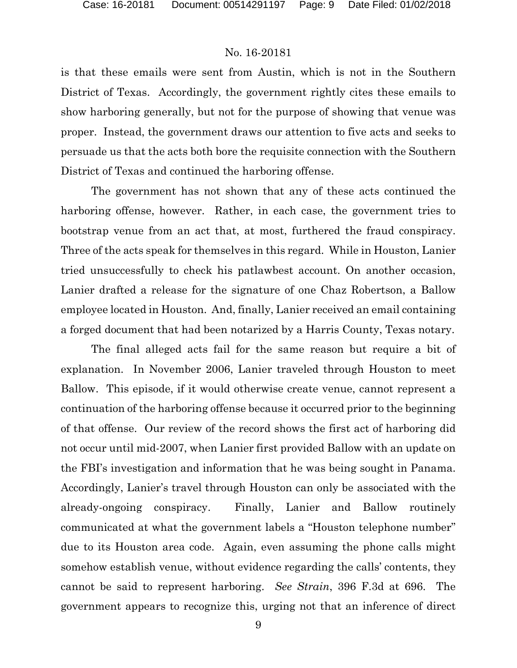is that these emails were sent from Austin, which is not in the Southern District of Texas. Accordingly, the government rightly cites these emails to show harboring generally, but not for the purpose of showing that venue was proper. Instead, the government draws our attention to five acts and seeks to persuade us that the acts both bore the requisite connection with the Southern District of Texas and continued the harboring offense.

The government has not shown that any of these acts continued the harboring offense, however. Rather, in each case, the government tries to bootstrap venue from an act that, at most, furthered the fraud conspiracy. Three of the acts speak for themselves in this regard. While in Houston, Lanier tried unsuccessfully to check his patlawbest account. On another occasion, Lanier drafted a release for the signature of one Chaz Robertson, a Ballow employee located in Houston. And, finally, Lanier received an email containing a forged document that had been notarized by a Harris County, Texas notary.

The final alleged acts fail for the same reason but require a bit of explanation. In November 2006, Lanier traveled through Houston to meet Ballow. This episode, if it would otherwise create venue, cannot represent a continuation of the harboring offense because it occurred prior to the beginning of that offense. Our review of the record shows the first act of harboring did not occur until mid-2007, when Lanier first provided Ballow with an update on the FBI's investigation and information that he was being sought in Panama. Accordingly, Lanier's travel through Houston can only be associated with the already-ongoing conspiracy. Finally, Lanier and Ballow routinely communicated at what the government labels a "Houston telephone number" due to its Houston area code. Again, even assuming the phone calls might somehow establish venue, without evidence regarding the calls' contents, they cannot be said to represent harboring. *See Strain*, 396 F.3d at 696. The government appears to recognize this, urging not that an inference of direct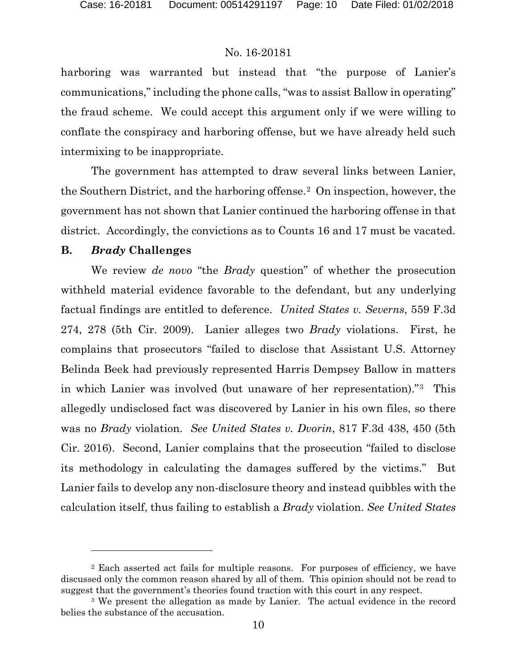harboring was warranted but instead that "the purpose of Lanier's communications," including the phone calls, "was to assist Ballow in operating" the fraud scheme. We could accept this argument only if we were willing to conflate the conspiracy and harboring offense, but we have already held such intermixing to be inappropriate.

The government has attempted to draw several links between Lanier, the Southern District, and the harboring offense.<sup>2</sup> On inspection, however, the government has not shown that Lanier continued the harboring offense in that district. Accordingly, the convictions as to Counts 16 and 17 must be vacated.

#### **B.** *Brady* **Challenges**

l

We review *de novo* "the *Brady* question" of whether the prosecution withheld material evidence favorable to the defendant, but any underlying factual findings are entitled to deference. *United States v. Severns*, 559 F.3d 274, 278 (5th Cir. 2009). Lanier alleges two *Brady* violations. First, he complains that prosecutors "failed to disclose that Assistant U.S. Attorney Belinda Beek had previously represented Harris Dempsey Ballow in matters in which Lanier was involved (but unaware of her representation)."[3](#page-9-1) This allegedly undisclosed fact was discovered by Lanier in his own files, so there was no *Brady* violation. *See United States v. Dvorin*, 817 F.3d 438, 450 (5th Cir. 2016). Second, Lanier complains that the prosecution "failed to disclose its methodology in calculating the damages suffered by the victims." But Lanier fails to develop any non-disclosure theory and instead quibbles with the calculation itself, thus failing to establish a *Brady* violation. *See United States* 

<span id="page-9-0"></span><sup>2</sup> Each asserted act fails for multiple reasons. For purposes of efficiency, we have discussed only the common reason shared by all of them. This opinion should not be read to suggest that the government's theories found traction with this court in any respect.

<span id="page-9-1"></span><sup>&</sup>lt;sup>3</sup> We present the allegation as made by Lanier. The actual evidence in the record belies the substance of the accusation.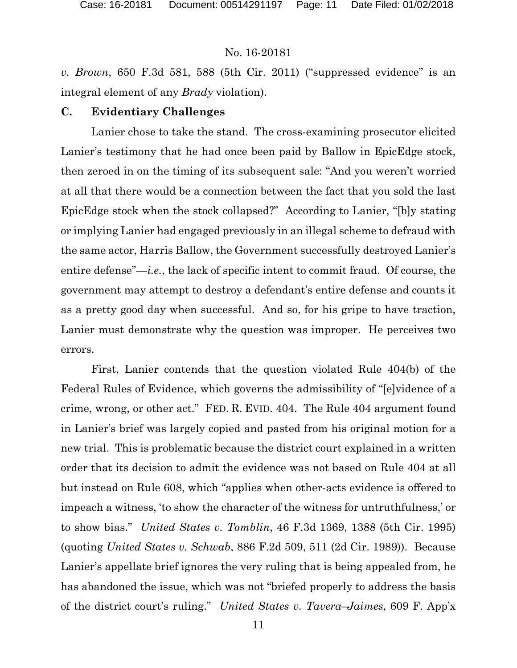*v. Brown*, 650 F.3d 581, 588 (5th Cir. 2011) ("suppressed evidence" is an integral element of any *Brady* violation).

#### **C. Evidentiary Challenges**

Lanier chose to take the stand. The cross-examining prosecutor elicited Lanier's testimony that he had once been paid by Ballow in EpicEdge stock, then zeroed in on the timing of its subsequent sale: "And you weren't worried at all that there would be a connection between the fact that you sold the last EpicEdge stock when the stock collapsed?" According to Lanier, "[b]y stating or implying Lanier had engaged previously in an illegal scheme to defraud with the same actor, Harris Ballow, the Government successfully destroyed Lanier's entire defense"—*i.e.*, the lack of specific intent to commit fraud. Of course, the government may attempt to destroy a defendant's entire defense and counts it as a pretty good day when successful. And so, for his gripe to have traction, Lanier must demonstrate why the question was improper. He perceives two errors.

First, Lanier contends that the question violated Rule 404(b) of the Federal Rules of Evidence, which governs the admissibility of "[e]vidence of a crime, wrong, or other act." FED. R. EVID. 404. The Rule 404 argument found in Lanier's brief was largely copied and pasted from his original motion for a new trial. This is problematic because the district court explained in a written order that its decision to admit the evidence was not based on Rule 404 at all but instead on Rule 608, which "applies when other-acts evidence is offered to impeach a witness, 'to show the character of the witness for untruthfulness,' or to show bias." *United States v. Tomblin*, 46 F.3d 1369, 1388 (5th Cir. 1995) (quoting *United States v. Schwab*, 886 F.2d 509, 511 (2d Cir. 1989)). Because Lanier's appellate brief ignores the very ruling that is being appealed from, he has abandoned the issue, which was not "briefed properly to address the basis of the district court's ruling." *United States v. Tavera–Jaimes*, 609 F. App'x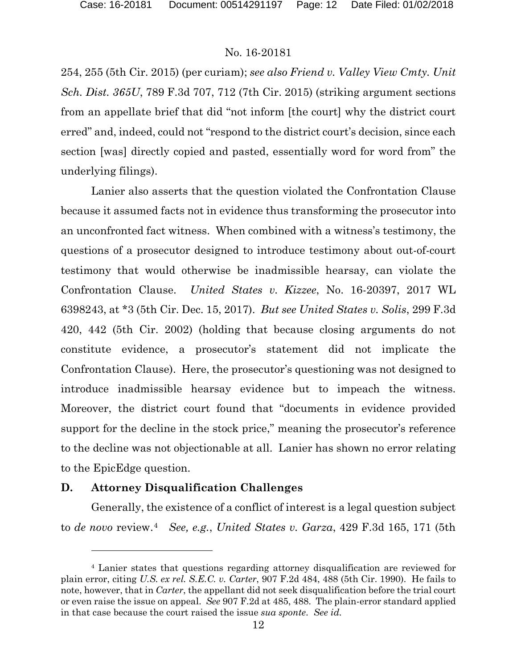254, 255 (5th Cir. 2015) (per curiam); *see also Friend v. Valley View Cmty. Unit Sch. Dist. 365U*, 789 F.3d 707, 712 (7th Cir. 2015) (striking argument sections from an appellate brief that did "not inform [the court] why the district court erred" and, indeed, could not "respond to the district court's decision, since each section [was] directly copied and pasted, essentially word for word from" the underlying filings).

Lanier also asserts that the question violated the Confrontation Clause because it assumed facts not in evidence thus transforming the prosecutor into an unconfronted fact witness. When combined with a witness's testimony, the questions of a prosecutor designed to introduce testimony about out-of-court testimony that would otherwise be inadmissible hearsay, can violate the Confrontation Clause. *United States v. Kizzee*, No. 16-20397, 2017 WL 6398243, at \*3 (5th Cir. Dec. 15, 2017). *But see United States v. Solis*, 299 F.3d 420, 442 (5th Cir. 2002) (holding that because closing arguments do not constitute evidence, a prosecutor's statement did not implicate the Confrontation Clause). Here, the prosecutor's questioning was not designed to introduce inadmissible hearsay evidence but to impeach the witness. Moreover, the district court found that "documents in evidence provided support for the decline in the stock price," meaning the prosecutor's reference to the decline was not objectionable at all. Lanier has shown no error relating to the EpicEdge question.

#### **D. Attorney Disqualification Challenges**

l

Generally, the existence of a conflict of interest is a legal question subject to *de novo* review.[4](#page-11-0) *See, e.g.*, *United States v. Garza*, 429 F.3d 165, 171 (5th

<span id="page-11-0"></span><sup>4</sup> Lanier states that questions regarding attorney disqualification are reviewed for plain error, citing *U.S. ex rel. S.E.C. v. Carter*, 907 F.2d 484, 488 (5th Cir. 1990). He fails to note, however, that in *Carter*, the appellant did not seek disqualification before the trial court or even raise the issue on appeal. *See* 907 F.2d at 485, 488. The plain-error standard applied in that case because the court raised the issue *sua sponte*. *See id.*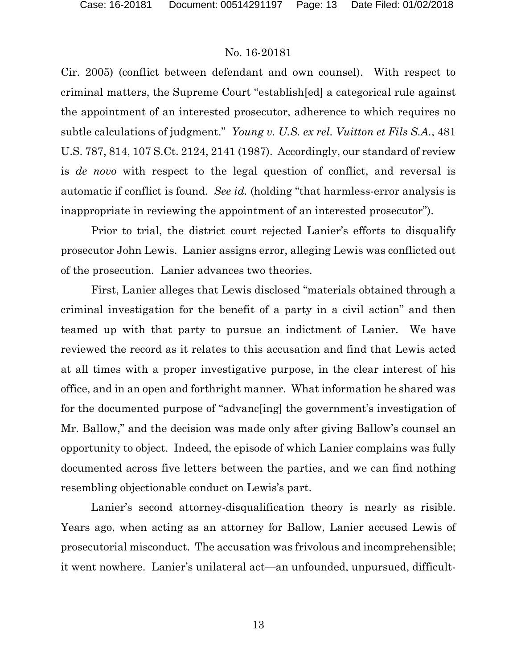Cir. 2005) (conflict between defendant and own counsel). With respect to criminal matters, the Supreme Court "establish[ed] a categorical rule against the appointment of an interested prosecutor, adherence to which requires no subtle calculations of judgment." *Young v. U.S. ex rel. Vuitton et Fils S.A.*, 481 U.S. 787, 814, 107 S.Ct. 2124, 2141 (1987). Accordingly, our standard of review is *de novo* with respect to the legal question of conflict, and reversal is automatic if conflict is found. *See id.* (holding "that harmless-error analysis is inappropriate in reviewing the appointment of an interested prosecutor").

Prior to trial, the district court rejected Lanier's efforts to disqualify prosecutor John Lewis. Lanier assigns error, alleging Lewis was conflicted out of the prosecution.Lanier advances two theories.

First, Lanier alleges that Lewis disclosed "materials obtained through a criminal investigation for the benefit of a party in a civil action" and then teamed up with that party to pursue an indictment of Lanier. We have reviewed the record as it relates to this accusation and find that Lewis acted at all times with a proper investigative purpose, in the clear interest of his office, and in an open and forthright manner. What information he shared was for the documented purpose of "advanc[ing] the government's investigation of Mr. Ballow," and the decision was made only after giving Ballow's counsel an opportunity to object. Indeed, the episode of which Lanier complains was fully documented across five letters between the parties, and we can find nothing resembling objectionable conduct on Lewis's part.

Lanier's second attorney-disqualification theory is nearly as risible. Years ago, when acting as an attorney for Ballow, Lanier accused Lewis of prosecutorial misconduct. The accusation was frivolous and incomprehensible; it went nowhere. Lanier's unilateral act—an unfounded, unpursued, difficult-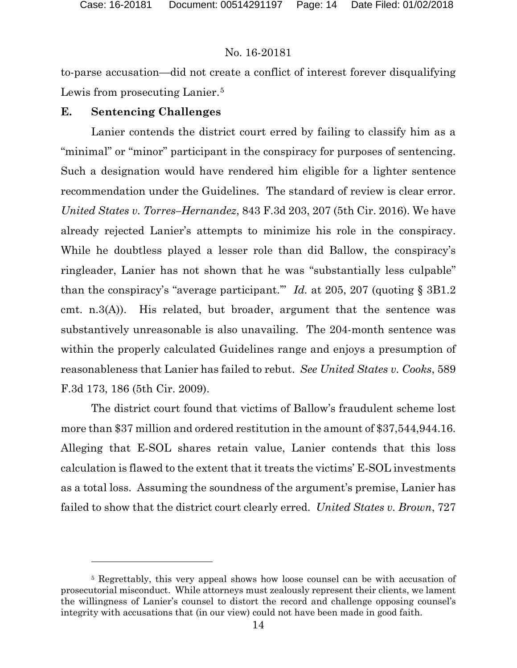$\overline{a}$ 

#### No. 16-20181

to-parse accusation—did not create a conflict of interest forever disqualifying Lewis from prosecuting Lanier.<sup>[5](#page-13-0)</sup>

#### **E. Sentencing Challenges**

Lanier contends the district court erred by failing to classify him as a "minimal" or "minor" participant in the conspiracy for purposes of sentencing. Such a designation would have rendered him eligible for a lighter sentence recommendation under the Guidelines. The standard of review is clear error. *United States v. Torres–Hernandez*, 843 F.3d 203, 207 (5th Cir. 2016). We have already rejected Lanier's attempts to minimize his role in the conspiracy. While he doubtless played a lesser role than did Ballow, the conspiracy's ringleader, Lanier has not shown that he was "substantially less culpable" than the conspiracy's "average participant.'" *Id.* at 205, 207 (quoting § 3B1.2 cmt. n.3(A)). His related, but broader, argument that the sentence was substantively unreasonable is also unavailing. The 204-month sentence was within the properly calculated Guidelines range and enjoys a presumption of reasonableness that Lanier has failed to rebut. *See United States v. Cooks*, 589 F.3d 173, 186 (5th Cir. 2009).

The district court found that victims of Ballow's fraudulent scheme lost more than \$37 million and ordered restitution in the amount of \$37,544,944.16. Alleging that E-SOL shares retain value, Lanier contends that this loss calculation is flawed to the extent that it treats the victims' E-SOL investments as a total loss. Assuming the soundness of the argument's premise, Lanier has failed to show that the district court clearly erred. *United States v. Brown*, 727

<span id="page-13-0"></span><sup>5</sup> Regrettably, this very appeal shows how loose counsel can be with accusation of prosecutorial misconduct. While attorneys must zealously represent their clients, we lament the willingness of Lanier's counsel to distort the record and challenge opposing counsel's integrity with accusations that (in our view) could not have been made in good faith.